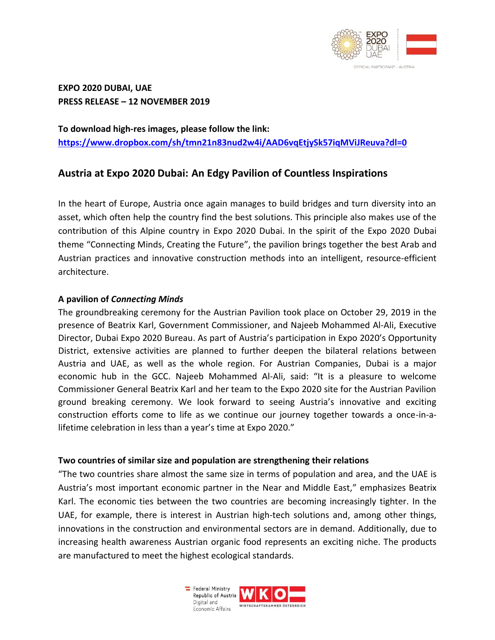

**EXPO 2020 DUBAI, UAE PRESS RELEASE – 12 NOVEMBER 2019**

**To download high-res images, please follow the link: <https://www.dropbox.com/sh/tmn21n83nud2w4i/AAD6vqEtjySk57iqMViJReuva?dl=0>**

# **Austria at Expo 2020 Dubai: An Edgy Pavilion of Countless Inspirations**

In the heart of Europe, Austria once again manages to build bridges and turn diversity into an asset, which often help the country find the best solutions. This principle also makes use of the contribution of this Alpine country in Expo 2020 Dubai. In the spirit of the Expo 2020 Dubai theme "Connecting Minds, Creating the Future", the pavilion brings together the best Arab and Austrian practices and innovative construction methods into an intelligent, resource-efficient architecture.

# **A pavilion of** *Connecting Minds*

The groundbreaking ceremony for the Austrian Pavilion took place on October 29, 2019 in the presence of Beatrix Karl, Government Commissioner, and Najeeb Mohammed Al-Ali, Executive Director, Dubai Expo 2020 Bureau. As part of Austria's participation in Expo 2020's Opportunity District, extensive activities are planned to further deepen the bilateral relations between Austria and UAE, as well as the whole region. For Austrian Companies, Dubai is a major economic hub in the GCC. Najeeb Mohammed Al-Ali, said: "It is a pleasure to welcome Commissioner General Beatrix Karl and her team to the Expo 2020 site for the Austrian Pavilion ground breaking ceremony. We look forward to seeing Austria's innovative and exciting construction efforts come to life as we continue our journey together towards a once-in-alifetime celebration in less than a year's time at Expo 2020."

## **Two countries of similar size and population are strengthening their relations**

"The two countries share almost the same size in terms of population and area, and the UAE is Austria's most important economic partner in the Near and Middle East," emphasizes Beatrix Karl. The economic ties between the two countries are becoming increasingly tighter. In the UAE, for example, there is interest in Austrian high-tech solutions and, among other things, innovations in the construction and environmental sectors are in demand. Additionally, due to increasing health awareness Austrian organic food represents an exciting niche. The products are manufactured to meet the highest ecological standards.

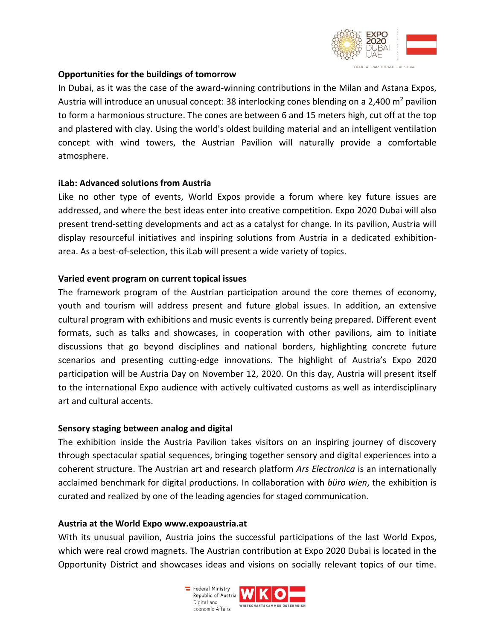

## **Opportunities for the buildings of tomorrow**

In Dubai, as it was the case of the award-winning contributions in the Milan and Astana Expos, Austria will introduce an unusual concept: 38 interlocking cones blending on a 2,400  $m^2$  pavilion to form a harmonious structure. The cones are between 6 and 15 meters high, cut off at the top and plastered with clay. Using the world's oldest building material and an intelligent ventilation concept with wind towers, the Austrian Pavilion will naturally provide a comfortable atmosphere.

## **iLab: Advanced solutions from Austria**

Like no other type of events, World Expos provide a forum where key future issues are addressed, and where the best ideas enter into creative competition. Expo 2020 Dubai will also present trend-setting developments and act as a catalyst for change. In its pavilion, Austria will display resourceful initiatives and inspiring solutions from Austria in a dedicated exhibitionarea. As a best-of-selection, this iLab will present a wide variety of topics.

## **Varied event program on current topical issues**

The framework program of the Austrian participation around the core themes of economy, youth and tourism will address present and future global issues. In addition, an extensive cultural program with exhibitions and music events is currently being prepared. Different event formats, such as talks and showcases, in cooperation with other pavilions, aim to initiate discussions that go beyond disciplines and national borders, highlighting concrete future scenarios and presenting cutting-edge innovations. The highlight of Austria's Expo 2020 participation will be Austria Day on November 12, 2020. On this day, Austria will present itself to the international Expo audience with actively cultivated customs as well as interdisciplinary art and cultural accents.

## **Sensory staging between analog and digital**

The exhibition inside the Austria Pavilion takes visitors on an inspiring journey of discovery through spectacular spatial sequences, bringing together sensory and digital experiences into a coherent structure. The Austrian art and research platform *Ars Electronica* is an internationally acclaimed benchmark for digital productions. In collaboration with *büro wien*, the exhibition is curated and realized by one of the leading agencies for staged communication.

#### **Austria at the World Expo www.expoaustria.at**

With its unusual pavilion, Austria joins the successful participations of the last World Expos, which were real crowd magnets. The Austrian contribution at Expo 2020 Dubai is located in the Opportunity District and showcases ideas and visions on socially relevant topics of our time.